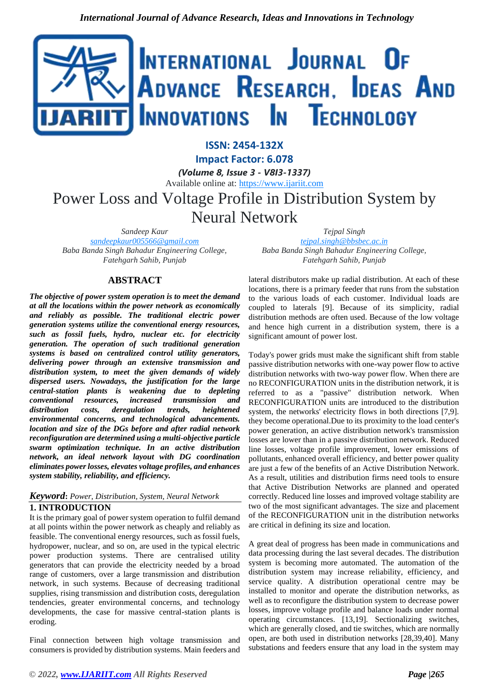

**ISSN: 2454-132X**

**Impact Factor: 6.078**

*(Volume 8, Issue 3 - V8I3-1337)*

Available online at: [https://www.ijariit.com](https://www.ijariit.com/?utm_source=pdf&utm_medium=edition&utm_campaign=OmAkSols&utm_term=V8I3-1337)

Power Loss and Voltage Profile in Distribution System by Neural Network

*Sandeep Kaur [sandeepkaur005566@gmail.com](mailto:sandeepkaur005566@gmail.com) Baba Banda Singh Bahadur Engineering College, Fatehgarh Sahib, Punjab*

# **ABSTRACT**

*The objective of power system operation is to meet the demand at all the locations within the power network as economically and reliably as possible. The traditional electric power generation systems utilize the conventional energy resources, such as fossil fuels, hydro, nuclear etc. for electricity generation. The operation of such traditional generation systems is based on centralized control utility generators, delivering power through an extensive transmission and distribution system, to meet the given demands of widely dispersed users. Nowadays, the justification for the large central-station plants is weakening due to depleting conventional resources, increased transmission and distribution costs, deregulation trends, heightened environmental concerns, and technological advancements. location and size of the DGs before and after radial network reconfiguration are determined using a multi-objective particle swarm optimization technique. In an active distribution network, an ideal network layout with DG coordination eliminates power losses, elevates voltage profiles, and enhances system stability, reliability, and efficiency.*

#### *Keyword***:** *Power, Distribution, System, Neural Network* **1. INTRODUCTION**

It is the primary goal of power system operation to fulfil demand at all points within the power network as cheaply and reliably as feasible. The conventional energy resources, such as fossil fuels, hydropower, nuclear, and so on, are used in the typical electric power production systems. There are centralised utility generators that can provide the electricity needed by a broad range of customers, over a large transmission and distribution network, in such systems. Because of decreasing traditional supplies, rising transmission and distribution costs, deregulation tendencies, greater environmental concerns, and technology developments, the case for massive central-station plants is eroding.

Final connection between high voltage transmission and consumers is provided by distribution systems. Main feeders and

*Tejpal Singh [tejpal.singh@bbsbec.ac.in](mailto:tejpal.singh@bbsbec.ac.in) Baba Banda Singh Bahadur Engineering College, Fatehgarh Sahib, Punjab*

lateral distributors make up radial distribution. At each of these locations, there is a primary feeder that runs from the substation to the various loads of each customer. Individual loads are coupled to laterals [9]. Because of its simplicity, radial distribution methods are often used. Because of the low voltage and hence high current in a distribution system, there is a significant amount of power lost.

Today's power grids must make the significant shift from stable passive distribution networks with one-way power flow to active distribution networks with two-way power flow. When there are no RECONFIGURATION units in the distribution network, it is referred to as a "passive" distribution network. When RECONFIGURATION units are introduced to the distribution system, the networks' electricity flows in both directions [7,9]. they become operational.Due to its proximity to the load center's power generation, an active distribution network's transmission losses are lower than in a passive distribution network. Reduced line losses, voltage profile improvement, lower emissions of pollutants, enhanced overall efficiency, and better power quality are just a few of the benefits of an Active Distribution Network. As a result, utilities and distribution firms need tools to ensure that Active Distribution Networks are planned and operated correctly. Reduced line losses and improved voltage stability are two of the most significant advantages. The size and placement of the RECONFIGURATION unit in the distribution networks are critical in defining its size and location.

A great deal of progress has been made in communications and data processing during the last several decades. The distribution system is becoming more automated. The automation of the distribution system may increase reliability, efficiency, and service quality. A distribution operational centre may be installed to monitor and operate the distribution networks, as well as to reconfigure the distribution system to decrease power losses, improve voltage profile and balance loads under normal operating circumstances. [13,19]. Sectionalizing switches, which are generally closed, and tie switches, which are normally open, are both used in distribution networks [28,39,40]. Many substations and feeders ensure that any load in the system may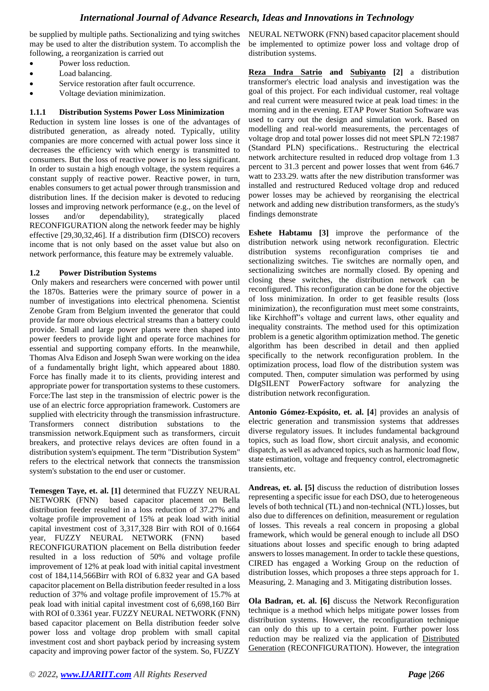be supplied by multiple paths. Sectionalizing and tying switches may be used to alter the distribution system. To accomplish the following, a reorganization is carried out

- Power loss reduction.
- Load balancing.
- Service restoration after fault occurrence.
- Voltage deviation minimization.

#### **1.1.1 Distribution Systems Power Loss Minimization**

Reduction in system line losses is one of the advantages of distributed generation, as already noted. Typically, utility companies are more concerned with actual power loss since it decreases the efficiency with which energy is transmitted to consumers. But the loss of reactive power is no less significant. In order to sustain a high enough voltage, the system requires a constant supply of reactive power. Reactive power, in turn, enables consumers to get actual power through transmission and distribution lines. If the decision maker is devoted to reducing losses and improving network performance (e.g., on the level of losses and/or dependability), strategically placed RECONFIGURATION along the network feeder may be highly effective [29,30,32,46]. If a distribution firm (DISCO) recovers income that is not only based on the asset value but also on network performance, this feature may be extremely valuable.

#### **1.2 Power Distribution Systems**

Only makers and researchers were concerned with power until the 1870s. Batteries were the primary source of power in a number of investigations into electrical phenomena. Scientist Zenobe Gram from Belgium invented the generator that could provide far more obvious electrical streams than a battery could provide. Small and large power plants were then shaped into power feeders to provide light and operate force machines for essential and supporting company efforts. In the meanwhile, Thomas Alva Edison and Joseph Swan were working on the idea of a fundamentally bright light, which appeared about 1880. Force has finally made it to its clients, providing interest and appropriate power for transportation systems to these customers. Force:The last step in the transmission of electric power is the use of an electric force appropriation framework. Customers are supplied with electricity through the transmission infrastructure. Transformers connect distribution substations to the transmission network.Equipment such as transformers, circuit breakers, and protective relays devices are often found in a distribution system's equipment. The term "Distribution System" refers to the electrical network that connects the transmission system's substation to the end user or customer.

**Temesgen Taye, et. al. [1]** determined that FUZZY NEURAL NETWORK (FNN) based capacitor placement on Bella distribution feeder resulted in a loss reduction of 37.27% and voltage profile improvement of 15% at peak load with initial capital investment cost of 3,317,328 Birr with ROI of 0.1664 year, FUZZY NEURAL NETWORK (FNN) based RECONFIGURATION placement on Bella distribution feeder resulted in a loss reduction of 50% and voltage profile improvement of 12% at peak load with initial capital investment cost of 184,114,566Birr with ROI of 6.832 year and GA based capacitor placement on Bella distribution feeder resulted in a loss reduction of 37% and voltage profile improvement of 15.7% at peak load with initial capital investment cost of 6,698,160 Birr with ROI of 0.3361 year. FUZZY NEURAL NETWORK (FNN) based capacitor placement on Bella distribution feeder solve power loss and voltage drop problem with small capital investment cost and short payback period by increasing system capacity and improving power factor of the system. So, FUZZY

NEURAL NETWORK (FNN) based capacitor placement should be implemented to optimize power loss and voltage drop of distribution systems.

**[Reza Indra Satrio](https://aip.scitation.org/author/Satrio%2C+Reza+Indra) and [Subiyanto](https://aip.scitation.org/author/Subiyanto) [2]** a distribution transformer's electric load analysis and investigation was the goal of this project. For each individual customer, real voltage and real current were measured twice at peak load times: in the morning and in the evening. ETAP Power Station Software was used to carry out the design and simulation work. Based on modelling and real-world measurements, the percentages of voltage drop and total power losses did not meet SPLN 72:1987 (Standard PLN) specifications.. Restructuring the electrical network architecture resulted in reduced drop voltage from 1.3 percent to 31.3 percent and power losses that went from 646.7 watt to 233.29. watts after the new distribution transformer was installed and restructured Reduced voltage drop and reduced power losses may be achieved by reorganising the electrical network and adding new distribution transformers, as the study's findings demonstrate

**Eshete Habtamu [3]** improve the performance of the distribution network using network reconfiguration. Electric distribution systems reconfiguration comprises tie and sectionalizing switches. Tie switches are normally open, and sectionalizing switches are normally closed. By opening and closing these switches, the distribution network can be reconfigured. This reconfiguration can be done for the objective of loss minimization. In order to get feasible results (loss minimization), the reconfiguration must meet some constraints, like Kirchhoff"s voltage and current laws, other equality and inequality constraints. The method used for this optimization problem is a genetic algorithm optimization method. The genetic algorithm has been described in detail and then applied specifically to the network reconfiguration problem. In the optimization process, load flow of the distribution system was computed. Then, computer simulation was performed by using DIgSILENT PowerFactory software for analyzing the distribution network reconfiguration.

**Antonio Gómez-Expósito, et. al. [4**] provides an analysis of electric generation and transmission systems that addresses diverse regulatory issues. It includes fundamental background topics, such as load flow, short circuit analysis, and economic dispatch, as well as advanced topics, such as harmonic load flow, state estimation, voltage and frequency control, electromagnetic transients, etc.

**Andreas, et. al. [5]** discuss the reduction of distribution losses representing a specific issue for each DSO, due to heterogeneous levels of both technical (TL) and non-technical (NTL) losses, but also due to differences on definition, measurement or regulation of losses. This reveals a real concern in proposing a global framework, which would be general enough to include all DSO situations about losses and specific enough to bring adapted answers to losses management. In order to tackle these questions, CIRED has engaged a Working Group on the reduction of distribution losses, which proposes a three steps approach for 1. Measuring, 2. Managing and 3. Mitigating distribution losses.

**Ola Badran, et. al. [6]** discuss the Network Reconfiguration technique is a method which helps mitigate power losses from distribution systems. However, the reconfiguration technique can only do this up to a certain point. Further power loss reduction may be realized via the application of [Distributed](https://www.sciencedirect.com/topics/engineering/distributed-power-generation)  [Generation](https://www.sciencedirect.com/topics/engineering/distributed-power-generation) (RECONFIGURATION). However, the integration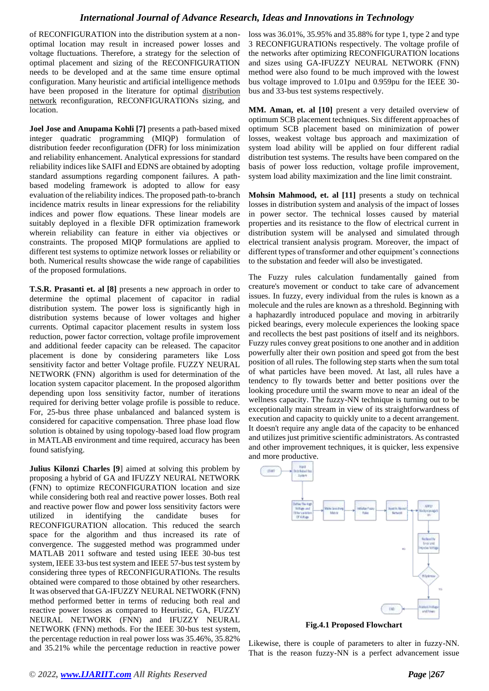of RECONFIGURATION into the distribution system at a nonoptimal location may result in increased power losses and voltage fluctuations. Therefore, a strategy for the selection of optimal placement and sizing of the RECONFIGURATION needs to be developed and at the same time ensure optimal configuration. Many heuristic and artificial intelligence methods have been proposed in the literature for optimal [distribution](https://www.sciencedirect.com/topics/engineering/electric-power-distribution)  [network](https://www.sciencedirect.com/topics/engineering/electric-power-distribution) reconfiguration, RECONFIGURATIONs sizing, and location.

**Joel Jose and Anupama Kohli [7]** presents a path-based mixed integer quadratic programming (MIQP) formulation of distribution feeder reconfiguration (DFR) for loss minimization and reliability enhancement. Analytical expressions for standard reliability indices like SAIFI and EDNS are obtained by adopting standard assumptions regarding component failures. A pathbased modeling framework is adopted to allow for easy evaluation of the reliability indices. The proposed path-to-branch incidence matrix results in linear expressions for the reliability indices and power flow equations. These linear models are suitably deployed in a flexible DFR optimization framework wherein reliability can feature in either via objectives or constraints. The proposed MIQP formulations are applied to different test systems to optimize network losses or reliability or both. Numerical results showcase the wide range of capabilities of the proposed formulations.

**T.S.R. Prasanti et. al [8]** presents a new approach in order to determine the optimal placement of capacitor in radial distribution system. The power loss is significantly high in distribution systems because of lower voltages and higher currents. Optimal capacitor placement results in system loss reduction, power factor correction, voltage profile improvement and additional feeder capacity can be released. The capacitor placement is done by considering parameters like Loss sensitivity factor and better Voltage profile. FUZZY NEURAL NETWORK (FNN) algorithm is used for determination of the location system capacitor placement. In the proposed algorithm depending upon loss sensitivity factor, number of iterations required for deriving better volage profile is possible to reduce. For, 25-bus three phase unbalanced and balanced system is considered for capacitive compensation. Three phase load flow solution is obtained by using topology-based load flow program in MATLAB environment and time required, accuracy has been found satisfying.

**Julius Kilonzi Charles [9**] aimed at solving this problem by proposing a hybrid of GA and IFUZZY NEURAL NETWORK (FNN) to optimize RECONFIGURATION location and size while considering both real and reactive power losses. Both real and reactive power flow and power loss sensitivity factors were utilized in identifying the candidate buses for RECONFIGURATION allocation. This reduced the search space for the algorithm and thus increased its rate of convergence. The suggested method was programmed under MATLAB 2011 software and tested using IEEE 30-bus test system, IEEE 33-bus test system and IEEE 57-bus test system by considering three types of RECONFIGURATIONs. The results obtained were compared to those obtained by other researchers. It was observed that GA-IFUZZY NEURAL NETWORK (FNN) method performed better in terms of reducing both real and reactive power losses as compared to Heuristic, GA, FUZZY NEURAL NETWORK (FNN) and IFUZZY NEURAL NETWORK (FNN) methods. For the IEEE 30-bus test system, the percentage reduction in real power loss was 35.46%, 35.82% and 35.21% while the percentage reduction in reactive power

loss was 36.01%, 35.95% and 35.88% for type 1, type 2 and type 3 RECONFIGURATIONs respectively. The voltage profile of the networks after optimizing RECONFIGURATION locations and sizes using GA-IFUZZY NEURAL NETWORK (FNN) method were also found to be much improved with the lowest bus voltage improved to 1.01pu and 0.959pu for the IEEE 30 bus and 33-bus test systems respectively.

**MM. Aman, et. al [10]** present a very detailed overview of optimum SCB placement techniques. Six different approaches of optimum SCB placement based on minimization of power losses, weakest voltage bus approach and maximization of system load ability will be applied on four different radial distribution test systems. The results have been compared on the basis of power loss reduction, voltage profile improvement, system load ability maximization and the line limit constraint.

**Mohsin Mahmood, et. al [11]** presents a study on technical losses in distribution system and analysis of the impact of losses in power sector. The technical losses caused by material properties and its resistance to the flow of electrical current in distribution system will be analysed and simulated through electrical transient analysis program. Moreover, the impact of different types of transformer and other equipment's connections to the substation and feeder will also be investigated.

The Fuzzy rules calculation fundamentally gained from creature's movement or conduct to take care of advancement issues. In fuzzy, every individual from the rules is known as a molecule and the rules are known as a threshold. Beginning with a haphazardly introduced populace and moving in arbitrarily picked bearings, every molecule experiences the looking space and recollects the best past positions of itself and its neighbors. Fuzzy rules convey great positions to one another and in addition powerfully alter their own position and speed got from the best position of all rules. The following step starts when the sum total of what particles have been moved. At last, all rules have a tendency to fly towards better and better positions over the looking procedure until the swarm move to near an ideal of the wellness capacity. The fuzzy-NN technique is turning out to be exceptionally main stream in view of its straightforwardness of execution and capacity to quickly unite to a decent arrangement. It doesn't require any angle data of the capacity to be enhanced and utilizes just primitive scientific administrators. As contrasted and other improvement techniques, it is quicker, less expensive and more productive.



**Fig.4.1 Proposed Flowchart**

Likewise, there is couple of parameters to alter in fuzzy-NN. That is the reason fuzzy-NN is a perfect advancement issue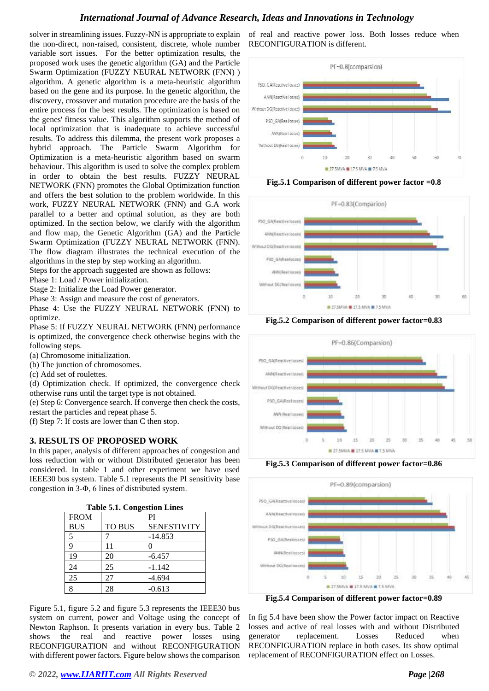solver in streamlining issues. Fuzzy-NN is appropriate to explain the non-direct, non-raised, consistent, discrete, whole number variable sort issues. For the better optimization results, the proposed work uses the genetic algorithm (GA) and the Particle Swarm Optimization (FUZZY NEURAL NETWORK (FNN) ) algorithm. A genetic algorithm is a meta-heuristic algorithm based on the gene and its purpose. In the genetic algorithm, the discovery, crossover and mutation procedure are the basis of the entire process for the best results. The optimization is based on the genes' fitness value. This algorithm supports the method of local optimization that is inadequate to achieve successful results. To address this dilemma, the present work proposes a hybrid approach. The Particle Swarm Algorithm for Optimization is a meta-heuristic algorithm based on swarm behaviour. This algorithm is used to solve the complex problem in order to obtain the best results. FUZZY NEURAL NETWORK (FNN) promotes the Global Optimization function and offers the best solution to the problem worldwide. In this work, FUZZY NEURAL NETWORK (FNN) and G.A work parallel to a better and optimal solution, as they are both optimized. In the section below, we clarify with the algorithm and flow map, the Genetic Algorithm (GA) and the Particle Swarm Optimization (FUZZY NEURAL NETWORK (FNN). The flow diagram illustrates the technical execution of the algorithms in the step by step working an algorithm.

Steps for the approach suggested are shown as follows:

Phase 1: Load / Power initialization.

Stage 2: Initialize the Load Power generator.

Phase 3: Assign and measure the cost of generators.

Phase 4: Use the FUZZY NEURAL NETWORK (FNN) to optimize.

Phase 5: If FUZZY NEURAL NETWORK (FNN) performance is optimized, the convergence check otherwise begins with the following steps.

(a) Chromosome initialization.

- (b) The junction of chromosomes.
- (c) Add set of roulettes.

(d) Optimization check. If optimized, the convergence check otherwise runs until the target type is not obtained.

(e) Step 6: Convergence search. If converge then check the costs, restart the particles and repeat phase 5.

(f) Step 7: If costs are lower than C then stop.

### **3. RESULTS OF PROPOSED WORK**

In this paper, analysis of different approaches of congestion and loss reduction with or without Distributed generator has been considered. In table 1 and other experiment we have used IEEE30 bus system. Table 5.1 represents the PI sensitivity base congestion in 3-Φ, 6 lines of distributed system.

| Table 9.1. Congestion Lines |               |                    |
|-----------------------------|---------------|--------------------|
| <b>FROM</b>                 |               | PI                 |
| <b>BUS</b>                  | <b>TO BUS</b> | <b>SENESTIVITY</b> |
| 5                           |               | $-14.853$          |
| q                           | 11            |                    |
| 19                          | 20            | $-6.457$           |
| 24                          | 25            | $-1.142$           |
| 25                          | 27            | $-4.694$           |
| Q                           | 28            | $-0.613$           |

Figure 5.1, figure 5.2 and figure 5.3 represents the IEEE30 bus system on current, power and Voltage using the concept of Newton Raphson. It presents variation in every bus. Table 2 shows the real and reactive power losses using RECONFIGURATION and without RECONFIGURATION with different power factors. Figure below shows the comparison

of real and reactive power loss. Both losses reduce when RECONFIGURATION is different.



**Fig.5.1 Comparison of different power factor =0.8**







**Fig.5.3 Comparison of different power factor=0.86**



**Fig.5.4 Comparison of different power factor=0.89**

In fig 5.4 have been show the Power factor impact on Reactive losses and active of real losses with and without Distributed generator replacement. Losses Reduced when RECONFIGURATION replace in both cases. Its show optimal replacement of RECONFIGURATION effect on Losses.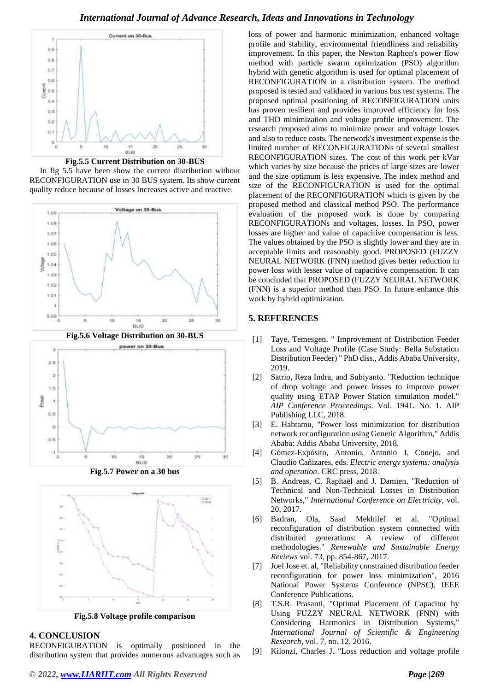

**Fig.5.5 Current Distribution on 30-BUS**

 In fig 5.5 have been show the current distribution without RECONFIGURATION use in 30 BUS system. Its show current quality reduce because of losses Increases active and reactive.



**Fig.5.7 Power on a 30 bus**



**Fig.5.8 Voltage profile comparison**

# **4. CONCLUSION**

RECONFIGURATION is optimally positioned in the distribution system that provides numerous advantages such as loss of power and harmonic minimization, enhanced voltage profile and stability, environmental friendliness and reliability improvement. In this paper, the Newton Raphon's power flow method with particle swarm optimization (PSO) algorithm hybrid with genetic algorithm is used for optimal placement of RECONFIGURATION in a distribution system. The method proposed is tested and validated in various bus test systems. The proposed optimal positioning of RECONFIGURATION units has proven resilient and provides improved efficiency for loss and THD minimization and voltage profile improvement. The research proposed aims to minimize power and voltage losses and also to reduce costs. The network's investment expense is the limited number of RECONFIGURATIONs of several smallest RECONFIGURATION sizes. The cost of this work per kVar which varies by size because the prices of large sizes are lower and the size optimum is less expensive. The index method and size of the RECONFIGURATION is used for the optimal placement of the RECONFIGURATION which is given by the proposed method and classical method PSO. The performance evaluation of the proposed work is done by comparing RECONFIGURATIONs and voltages, losses. In PSO, power losses are higher and value of capacitive compensation is less. The values obtained by the PSO is slightly lower and they are in acceptable limits and reasonably good. PROPOSED (FUZZY NEURAL NETWORK (FNN) method gives better reduction in power loss with lesser value of capacitive compensation. It can be concluded that PROPOSED (FUZZY NEURAL NETWORK (FNN) is a superior method than PSO. In future enhance this work by hybrid optimization.

### **5. REFERENCES**

- [1] Taye, Temesgen. " Improvement of Distribution Feeder Loss and Voltage Profile (Case Study: Bella Substation Distribution Feeder) " PhD diss., Addis Ababa University, 2019.
- [2] Satrio, Reza Indra, and Subiyanto. "Reduction technique of drop voltage and power losses to improve power quality using ETAP Power Station simulation model." *AIP Conference Proceedings*. Vol. 1941. No. 1. AIP Publishing LLC, 2018.
- [3] E. Habtamu, "Power loss minimization for distribution network reconfiguration using Genetic Algorithm," Addis Ababa: Addis Ababa University, 2018.
- [4] Gómez-Expósito, Antonio, Antonio J. Conejo, and Claudio Cañizares, eds. *Electric energy systems: analysis and operation*. CRC press, 2018.
- [5] B. Andreas, C. Raphaël and J. Damien, "Reduction of Technical and Non-Technical Losses in Distribution Networks," *International Conference on Electricity,* vol. 20, 2017.
- [6] Badran, Ola, Saad Mekhilef et al. "Optimal reconfiguration of distribution system connected with distributed generations: A review of different methodologies." *Renewable and Sustainable Energy Reviews* vol. 73, pp. 854-867, 2017.
- [7] Joel Jose et. al, "Reliability constrained distribution feeder reconfiguration for power loss minimization", 2016 National Power Systems Conference (NPSC), IEEE Conference Publications.
- [8] T.S.R. Prasanti, "Optimal Placement of Capacitor by Using FUZZY NEURAL NETWORK (FNN) with Considering Harmonics in Distribution Systems," *International Journal of Scientific & Engineering Research,* vol. 7, no. 12, 2016.
- [9] Kilonzi, Charles J. "Loss reduction and voltage profile